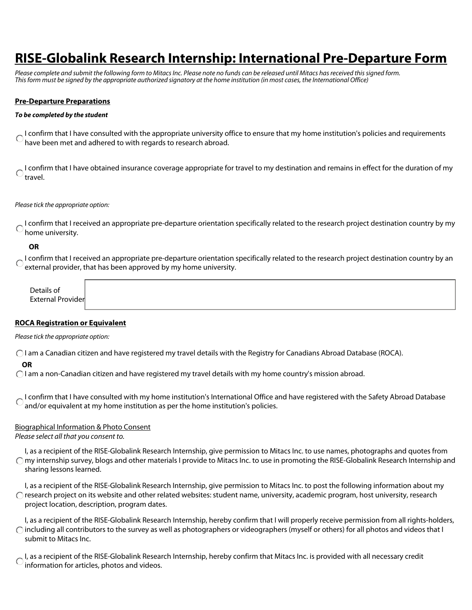# **RISE-Globalink Research Internship: International Pre-Departure Form**

*Please complete and submit the following form to Mitacs Inc. Please note no funds can be released until Mitacs has received this signed form. This form must be signed by the appropriate authorized signatory at the home institution (in most cases, the International Office)* 

## **Pre-Departure Preparations**

#### *To be completed by the student*

I confirm that I have consulted with the appropriate university office to ensure that my home institution's policies and requirements Chave been met and adhered to with regards to research abroad.

I confirm that I have obtained insurance coverage appropriate for travel to my destination and remains in effect for the duration of my travel.

#### *Please tick the appropriate option:*

I confirm that I received an appropriate pre-departure orientation specifically related to the research project destination country by my home university.

### **OR**

O I confirm that I received an appropriate pre-departure orientation specifically related to the research project destination country by an O ovternal project destination country by an external provider, that has been approved by my home university.

| )etails of<br>$\sim$ $\sim$ $\sim$ $\sim$<br>l Provider<br>Evtorna<br>.<br>$- \cdot$ |
|--------------------------------------------------------------------------------------|
|--------------------------------------------------------------------------------------|

## **ROCA Registration or Equivalent**

*Please tick the appropriate option:*

I am a Canadian citizen and have registered my travel details with the Registry for Canadians Abroad Database (ROCA).

### **OR**

I am a non-Canadian citizen and have registered my travel details with my home country's mission abroad.

**C** I confirm that I have consulted with my home institution's International Office and have registered with the Safety Abroad Database and/or equivalent at my home institution as per the home institution's policies.

## Biographical Information & Photo Consent

*Please select all that you consent to.*

I, as a recipient of the RISE-Globalink Research Internship, give permission to Mitacs Inc. to use names, photographs and quotes from  $\bigcap$  my internship survey, blogs and other materials I provide to Mitacs Inc. to use in promoting the RISE-Globalink Research Internship and sharing lessons learned.

I, as a recipient of the RISE-Globalink Research Internship, give permission to Mitacs Inc. to post the following information about my  $\bigcirc$  research project on its website and other related websites: student name, university, academic program, host university, research project location, description, program dates.

I, as a recipient of the RISE-Globalink Research Internship, hereby confirm that I will properly receive permission from all rights-holders,  $\bigcap$  including all contributors to the survey as well as photographers or videographers (myself or others) for all photos and videos that I submit to Mitacs Inc.

I, as a recipient of the RISE-Globalink Research Internship, hereby confirm that Mitacs Inc. is provided with all necessary credit information for articles, photos and videos.